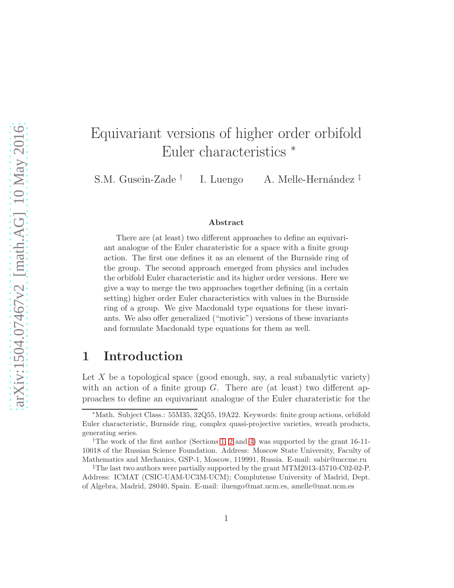# Equivariant versions of higher order orbifold Euler characteristics <sup>∗</sup>

S.M. Gusein-Zade † I. Luengo A. Melle-Hernández  $\ddagger$ 

#### Abstract

There are (at least) two different approaches to define an equivariant analogue of the Euler charateristic for a space with a finite group action. The first one defines it as an element of the Burnside ring of the group. The second approach emerged from physics and includes the orbifold Euler characteristic and its higher order versions. Here we give a way to merge the two approaches together defining (in a certain setting) higher order Euler characteristics with values in the Burnside ring of a group. We give Macdonald type equations for these invariants. We also offer generalized ("motivic") versions of these invariants and formulate Macdonald type equations for them as well.

### <span id="page-0-0"></span>1 Introduction

Let X be a topological space (good enough, say, a real subanalytic variety) with an action of a finite group  $G$ . There are (at least) two different approaches to define an equivariant analogue of the Euler charateristic for the

<sup>∗</sup>Math. Subject Class.: 55M35, 32Q55, 19A22. Keywords: finite group actions, orbifold Euler characteristic, Burnside ring, complex quasi-projective varieties, wreath products, generating series.

<sup>†</sup>The work of the first author (Sections [1,](#page-0-0) [2](#page-2-0) and [4\)](#page-9-0) was supported by the grant 16-11- 10018 of the Russian Science Foundation. Address: Moscow State University, Faculty of Mathematics and Mechanics, GSP-1, Moscow, 119991, Russia. E-mail: sabir@mccme.ru

<sup>‡</sup>The last two authors were partially supported by the grant MTM2013-45710-C02-02-P. Address: ICMAT (CSIC-UAM-UC3M-UCM); Complutense University of Madrid, Dept. of Algebra, Madrid, 28040, Spain. E-mail: iluengo@mat.ucm.es, amelle@mat.ucm.es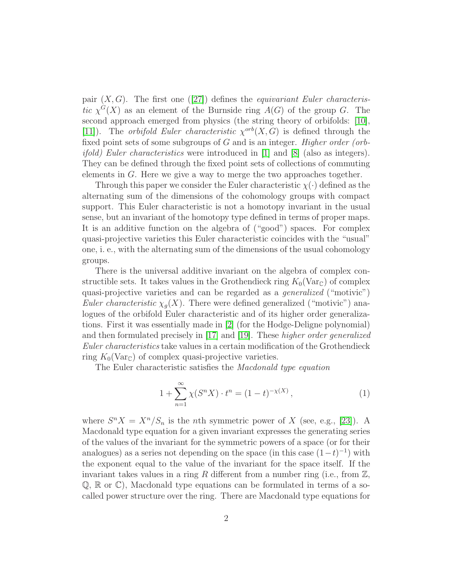pair  $(X, G)$ . The first one ([\[27\]](#page-18-0)) defines the *equivariant Euler characteris*tic  $\chi^G(X)$  as an element of the Burnside ring  $A(G)$  of the group G. The second approach emerged from physics (the string theory of orbifolds: [\[10\]](#page-17-0), [\[11\]](#page-17-1)). The *orbifold Euler characteristic*  $\chi^{orb}(X, G)$  is defined through the fixed point sets of some subgroups of  $G$  and is an integer. Higher order (orb*ifold)* Euler characteristics were introduced in [\[1\]](#page-16-0) and [\[8\]](#page-17-2) (also as integers). They can be defined through the fixed point sets of collections of commuting elements in G. Here we give a way to merge the two approaches together.

Through this paper we consider the Euler characteristic  $\chi(\cdot)$  defined as the alternating sum of the dimensions of the cohomology groups with compact support. This Euler characteristic is not a homotopy invariant in the usual sense, but an invariant of the homotopy type defined in terms of proper maps. It is an additive function on the algebra of ("good") spaces. For complex quasi-projective varieties this Euler characteristic coincides with the "usual" one, i. e., with the alternating sum of the dimensions of the usual cohomology groups.

There is the universal additive invariant on the algebra of complex constructible sets. It takes values in the Grothendieck ring  $K_0(\text{Var}_{\mathbb{C}})$  of complex quasi-projective varieties and can be regarded as a generalized ("motivic") *Euler characteristic*  $\chi_g(X)$ . There were defined generalized ("motivic") analogues of the orbifold Euler characteristic and of its higher order generalizations. First it was essentially made in [\[2\]](#page-16-1) (for the Hodge-Deligne polynomial) and then formulated precisely in [\[17\]](#page-18-1) and [\[19\]](#page-18-2). These higher order generalized Euler characteristics take values in a certain modification of the Grothendieck ring  $K_0(\text{Var}_{\mathbb{C}})$  of complex quasi-projective varieties.

The Euler characteristic satisfies the Macdonald type equation

<span id="page-1-0"></span>
$$
1 + \sum_{n=1}^{\infty} \chi(S^n X) \cdot t^n = (1 - t)^{-\chi(X)}, \tag{1}
$$

where  $S^n X = X^n / S_n$  is the *n*th symmetric power of X (see, e.g., [\[23\]](#page-18-3)). A Macdonald type equation for a given invariant expresses the generating series of the values of the invariant for the symmetric powers of a space (or for their analogues) as a series not depending on the space (in this case  $(1-t)^{-1}$ ) with the exponent equal to the value of the invariant for the space itself. If the invariant takes values in a ring R different from a number ring (i.e., from  $\mathbb{Z}$ ,  $\mathbb{Q}, \mathbb{R}$  or  $\mathbb{C}$ ), Macdonald type equations can be formulated in terms of a socalled power structure over the ring. There are Macdonald type equations for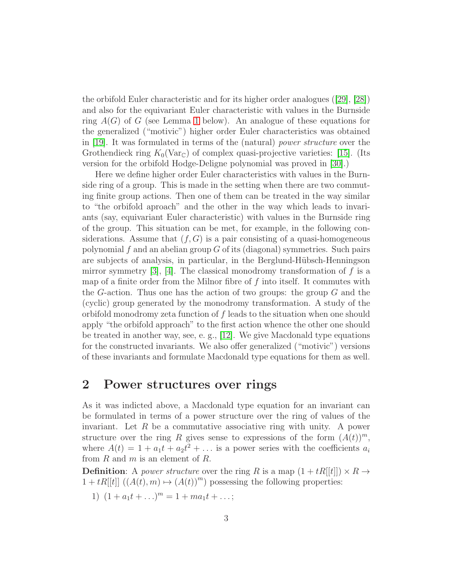the orbifold Euler characteristic and for its higher order analogues ([\[29\]](#page-19-0), [\[28\]](#page-18-4)) and also for the equivariant Euler characteristic with values in the Burnside ring  $A(G)$  of G (see Lemma [1](#page-10-0) below). An analogue of these equations for the generalized ("motivic") higher order Euler characteristics was obtained in [\[19\]](#page-18-2). It was formulated in terms of the (natural) power structure over the Grothendieck ring  $K_0(\text{Var}_{\mathbb{C}})$  of complex quasi-projective varieties: [\[15\]](#page-17-3). (Its version for the orbifold Hodge-Deligne polynomial was proved in [\[30\]](#page-19-1).)

Here we define higher order Euler characteristics with values in the Burnside ring of a group. This is made in the setting when there are two commuting finite group actions. Then one of them can be treated in the way similar to "the orbifold aproach" and the other in the way which leads to invariants (say, equivariant Euler characteristic) with values in the Burnside ring of the group. This situation can be met, for example, in the following considerations. Assume that  $(f, G)$  is a pair consisting of a quasi-homogeneous polynomial f and an abelian group  $G$  of its (diagonal) symmetries. Such pairs are subjects of analysis, in particular, in the Berglund-Hübsch-Henningson mirror symmetry  $[3]$ ,  $[4]$ . The classical monodromy transformation of f is a map of a finite order from the Milnor fibre of  $f$  into itself. It commutes with the G-action. Thus one has the action of two groups: the group  $G$  and the (cyclic) group generated by the monodromy transformation. A study of the orbifold monodromy zeta function of  $f$  leads to the situation when one should apply "the orbifold approach" to the first action whence the other one should be treated in another way, see, e. g., [\[12\]](#page-17-5). We give Macdonald type equations for the constructed invariants. We also offer generalized ("motivic") versions of these invariants and formulate Macdonald type equations for them as well.

#### <span id="page-2-0"></span>2 Power structures over rings

As it was indicted above, a Macdonald type equation for an invariant can be formulated in terms of a power structure over the ring of values of the invariant. Let  $R$  be a commutative associative ring with unity. A power structure over the ring R gives sense to expressions of the form  $(A(t))^m$ , where  $A(t) = 1 + a_1 t + a_2 t^2 + \dots$  is a power series with the coefficients  $a_i$ from  $R$  and  $m$  is an element of  $R$ .

**Definition:** A *power structure* over the ring R is a map  $(1 + tR[[t]]) \times R \rightarrow$  $1 + tR[[t]]((A(t),m) \mapsto (A(t))^m)$  possessing the following properties:

1)  $(1 + a_1t + ...)$ <sup>m</sup> = 1 + ma<sub>1</sub>t + ...;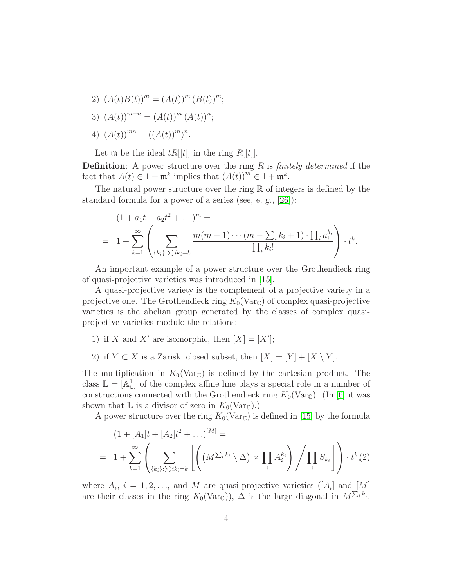- 2)  $(A(t)B(t))^m = (A(t))^m (B(t))^m;$
- 3)  $(A(t))^{m+n} = (A(t))^{m} (A(t))^{n};$
- 4)  $(A(t))^{mn} = ((A(t))^{m})^{n}$ .

Let **m** be the ideal  $tR[[t]]$  in the ring  $R[[t]]$ .

**Definition:** A power structure over the ring  $R$  is *finitely determined* if the fact that  $A(t) \in 1 + \mathfrak{m}^k$  implies that  $(A(t))^m \in 1 + \mathfrak{m}^k$ .

The natural power structure over the ring  $\mathbb R$  of integers is defined by the standard formula for a power of a series (see, e. g., [\[26\]](#page-18-5)):

$$
(1 + a_1t + a_2t^2 + \dots)^m =
$$
  
=  $1 + \sum_{k=1}^{\infty} \left( \sum_{\{k_i\} : \sum i k_i = k} \frac{m(m-1) \cdots (m - \sum_i k_i + 1) \cdot \prod_i a_i^{k_i}}{\prod_i k_i!} \right) \cdot t^k.$ 

An important example of a power structure over the Grothendieck ring of quasi-projective varieties was introduced in [\[15\]](#page-17-3).

A quasi-projective variety is the complement of a projective variety in a projective one. The Grothendieck ring  $K_0(\text{Var}_{\mathbb{C}})$  of complex quasi-projective varieties is the abelian group generated by the classes of complex quasiprojective varieties modulo the relations:

- 1) if X and X' are isomorphic, then  $[X] = [X']$ ;
- 2) if  $Y \subset X$  is a Zariski closed subset, then  $[X] = [Y] + [X \setminus Y]$ .

The multiplication in  $K_0(\text{Var}_{\mathbb{C}})$  is defined by the cartesian product. The class  $\mathbb{L} = [\mathbb{A}_{\mathbb{C}}^1]$  of the complex affine line plays a special role in a number of constructions connected with the Grothendieck ring  $K_0(\text{Var}_{\mathbb{C}})$ . (In [\[6\]](#page-17-6) it was shown that  $\mathbb L$  is a divisor of zero in  $K_0(\text{Var}_{\mathbb C})$ .)

A power structure over the ring  $K_0(\text{Var}_{\mathbb{C}})$  is defined in [\[15\]](#page-17-3) by the formula

<span id="page-3-0"></span>
$$
(1 + [A1]t + [A2]t2 + ...)^{[M]} =
$$
  
=  $1 + \sum_{k=1}^{\infty} \left( \sum_{\{k_i\} : \sum i k_i = k} \left[ \left( (M^{\sum_i k_i} \setminus \Delta) \times \prod_i A_i^{k_i} \right) / \prod_i S_{k_i} \right] \right) \cdot t^k$ , (2)

where  $A_i$ ,  $i = 1, 2, \ldots$ , and M are quasi-projective varieties ([ $A_i$ ] and [M] are their classes in the ring  $K_0(\text{Var}_\mathbb{C})$ ,  $\Delta$  is the large diagonal in  $M^{\sum_i k_i}$ ,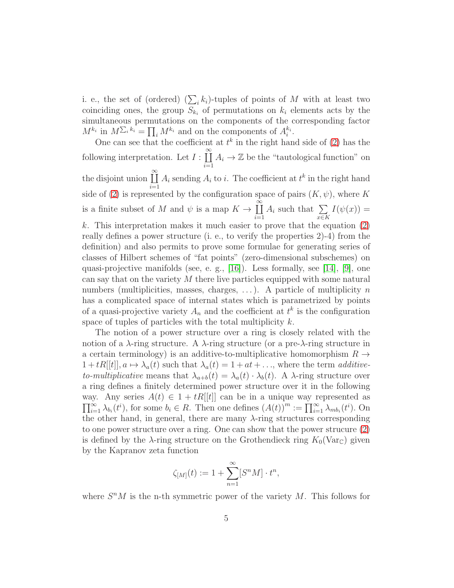i. e., the set of (ordered)  $(\sum_i k_i)$ -tuples of points of M with at least two coinciding ones, the group  $S_{k_i}$  of permutations on  $k_i$  elements acts by the simultaneous permutations on the components of the corresponding factor  $M^{k_i}$  in  $M^{\sum_i k_i} = \prod_i M^{k_i}$  and on the components of  $A_i^{k_i}$ .

One can see that the coefficient at  $t^k$  in the right hand side of [\(2\)](#page-3-0) has the following interpretation. Let  $I : \prod^{\infty}$  $i=1$  $A_i \to \mathbb{Z}$  be the "tautological function" on the disjoint union  $\prod^{\infty}$  $i=1$  $A_i$  sending  $A_i$  to i. The coefficient at  $t^k$  in the right hand side of [\(2\)](#page-3-0) is represented by the configuration space of pairs  $(K, \psi)$ , where K is a finite subset of M and  $\psi$  is a map  $K \to \prod^{\infty}$  $i=1$  $A_i$  such that  $\sum$ x∈K  $I(\psi(x)) =$ k. This interpretation makes it much easier to prove that the equation  $(2)$ really defines a power structure (i. e., to verify the properties 2)-4) from the definition) and also permits to prove some formulae for generating series of classes of Hilbert schemes of "fat points" (zero-dimensional subschemes) on quasi-projective manifolds (see, e. g.,  $[16]$ ). Less formally, see  $[14]$ ,  $[9]$ , one can say that on the variety  $M$  there live particles equipped with some natural numbers (multiplicities, masses, charges,  $\dots$ ). A particle of multiplicity n has a complicated space of internal states which is parametrized by points of a quasi-projective variety  $A_n$  and the coefficient at  $t^k$  is the configuration space of tuples of particles with the total multiplicity  $k$ .

The notion of a power structure over a ring is closely related with the notion of a  $\lambda$ -ring structure. A  $\lambda$ -ring structure (or a pre- $\lambda$ -ring structure in a certain terminology) is an additive-to-multiplicative homomorphism  $R \rightarrow$  $1 + tR[[t]], a \mapsto \lambda_a(t)$  such that  $\lambda_a(t) = 1 + at + \dots$ , where the term additiveto-multiplicative means that  $\lambda_{a+b}(t) = \lambda_a(t) \cdot \lambda_b(t)$ . A  $\lambda$ -ring structure over a ring defines a finitely determined power structure over it in the following way. Any series  $A(t) \in 1 + tR[[t]]$  can be in a unique way represented as  $\prod_{i=1}^{\infty} \lambda_{b_i}(t^i)$ , for some  $b_i \in R$ . Then one defines  $(A(t))^m := \prod_{i=1}^{\infty} \lambda_{mb_i}(t^i)$ . On the other hand, in general, there are many  $\lambda$ -ring structures corresponding to one power structure over a ring. One can show that the power strucure [\(2\)](#page-3-0) is defined by the  $\lambda$ -ring structure on the Grothendieck ring  $K_0(\text{Var}_{\mathbb{C}})$  given by the Kapranov zeta function

$$
\zeta_{[M]}(t) := 1 + \sum_{n=1}^{\infty} [S^n M] \cdot t^n,
$$

where  $S<sup>n</sup>M$  is the n-th symmetric power of the variety M. This follows for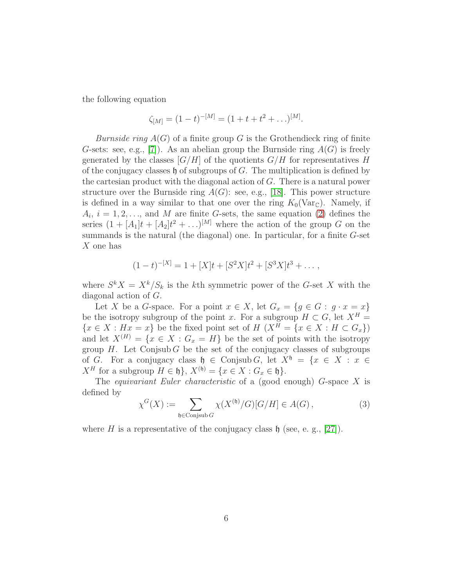the following equation

$$
\zeta_{[M]} = (1-t)^{-[M]} = (1+t+t^2+\ldots)^{[M]}.
$$

*Burnside ring*  $A(G)$  of a finite group G is the Grothendieck ring of finite G-sets: see, e.g., [\[7\]](#page-17-10)). As an abelian group the Burnside ring  $A(G)$  is freely generated by the classes  $[G/H]$  of the quotients  $G/H$  for representatives H of the conjugacy classes  $\mathfrak h$  of subgroups of G. The multiplication is defined by the cartesian product with the diagonal action of G. There is a natural power structure over the Burnside ring  $A(G)$ : see, e.g., [\[18\]](#page-18-6). This power structure is defined in a way similar to that one over the ring  $K_0(\text{Var}_{\mathbb{C}})$ . Namely, if  $A_i, i = 1, 2, \ldots$ , and M are finite G-sets, the same equation [\(2\)](#page-3-0) defines the series  $(1 + [A_1]t + [A_2]t^2 + ...)$ <sup>[M]</sup> where the action of the group G on the summands is the natural (the diagonal) one. In particular, for a finite  $G$ -set X one has

$$
(1-t)^{-[X]} = 1 + [X]t + [S^2X]t^2 + [S^3X]t^3 + \dots,
$$

where  $S^k X = X^k/S_k$  is the kth symmetric power of the G-set X with the diagonal action of G.

Let X be a G-space. For a point  $x \in X$ , let  $G_x = \{g \in G : g \cdot x = x\}$ be the isotropy subgroup of the point x. For a subgroup  $H \subset G$ , let  $X^H =$  ${x \in X : H_{xx} = x}$  be the fixed point set of  $H(X^H = \{x \in X : H \subset G_x\})$ and let  $X^{(H)} = \{x \in X : G_x = H\}$  be the set of points with the isotropy group  $H$ . Let Conjsub G be the set of the conjugacy classes of subgroups of G. For a conjugacy class  $\mathfrak{h} \in \text{Conjsub } G$ , let  $X^{\mathfrak{h}} = \{x \in X : x \in$  $X^H$  for a subgroup  $H \in \mathfrak{h}$ ,  $X^{(\mathfrak{h})} = \{x \in X : G_x \in \mathfrak{h}\}.$ 

The *equivariant Euler characteristic* of a (good enough)  $G$ -space  $X$  is defined by

$$
\chi^G(X) := \sum_{\mathfrak{h} \in \text{Conjsub } G} \chi(X^{(\mathfrak{h})}/G)[G/H] \in A(G),\tag{3}
$$

where H is a representative of the conjugacy class  $\mathfrak h$  (see, e. g., [\[27\]](#page-18-0)).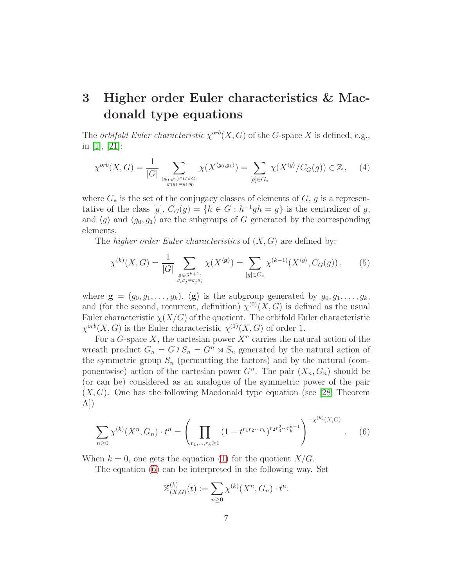## 3 Higher order Euler characteristics & Macdonald type equations

The *orbifold Euler characteristic*  $\chi^{orb}(X, G)$  of the *G*-space X is defined, e.g., in [\[1\]](#page-16-0), [\[21\]](#page-18-7):

$$
\chi^{orb}(X, G) = \frac{1}{|G|} \sum_{(g_0, g_1) \in G \times G: \atop g_0 g_1 = g_1 g_0} \chi(X^{\langle g_0, g_1 \rangle}) = \sum_{[g] \in G_*} \chi(X^{\langle g \rangle} / C_G(g)) \in \mathbb{Z}, \quad (4)
$$

where  $G_*$  is the set of the conjugacy classes of elements of  $G, g$  is a representative of the class  $[g]$ ,  $C_G(g) = \{h \in G : h^{-1}gh = g\}$  is the centralizer of g, and  $\langle g \rangle$  and  $\langle g_0, g_1 \rangle$  are the subgroups of G generated by the corresponding elements.

The *higher order Euler characteristics* of  $(X, G)$  are defined by:

$$
\chi^{(k)}(X, G) = \frac{1}{|G|} \sum_{\substack{\mathbf{g} \in G^{k+1}: \\ g_i g_j = g_j g_i}} \chi(X^{\langle \mathbf{g} \rangle}) = \sum_{[g] \in G_*} \chi^{(k-1)}(X^{\langle g \rangle}, C_G(g)), \tag{5}
$$

where  $\mathbf{g} = (g_0, g_1, \dots, g_k), \langle \mathbf{g} \rangle$  is the subgroup generated by  $g_0, g_1, \dots, g_k$ , and (for the second, recurrent, definition)  $\chi^{(0)}(X, G)$  is defined as the usual Euler characteristic  $\chi(X/G)$  of the quotient. The orbifold Euler characteristic  $\chi^{orb}(X, G)$  is the Euler characteristic  $\chi^{(1)}(X, G)$  of order 1.

For a G-space X, the cartesian power  $X<sup>n</sup>$  carries the natural action of the wreath product  $G_n = G \wr S_n = G^n \rtimes S_n$  generated by the natural action of the symmetric group  $S_n$  (permutting the factors) and by the natural (componentwise) action of the cartesian power  $G<sup>n</sup>$ . The pair  $(X_n, G_n)$  should be (or can be) considered as an analogue of the symmetric power of the pair  $(X, G)$ . One has the following Macdonald type equation (see [\[28,](#page-18-4) Theorem A])

<span id="page-6-0"></span>
$$
\sum_{n\geq 0} \chi^{(k)}(X^n, G_n) \cdot t^n = \left(\prod_{r_1,\dots,r_k\geq 1} (1-t^{r_1r_2\cdots r_k})^{r_2r_3^2\cdots r_k^{k-1}}\right)^{-\chi^{(k)}(X, G)}.
$$
 (6)

When  $k = 0$ , one gets the equation [\(1\)](#page-1-0) for the quotient  $X/G$ .

The equation [\(6\)](#page-6-0) can be interpreted in the following way. Set

$$
\mathbb{X}_{(X,G)}^{(k)}(t) := \sum_{n \ge 0} \chi^{(k)}(X^n, G_n) \cdot t^n.
$$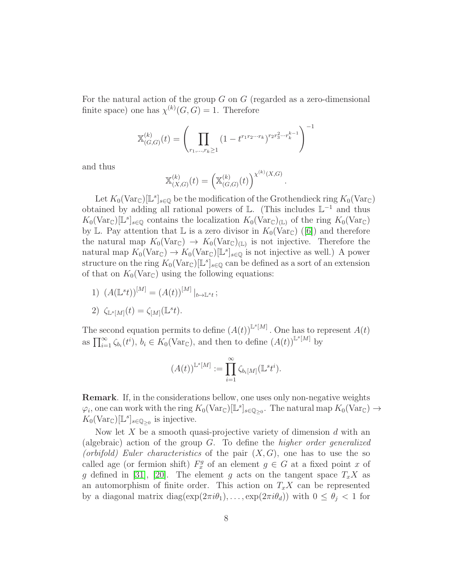For the natural action of the group  $G$  on  $G$  (regarded as a zero-dimensional finite space) one has  $\chi^{(k)}(G, G) = 1$ . Therefore

$$
\mathbb{X}_{(G,G)}^{(k)}(t) = \left(\prod_{r_1,\ldots,r_k \ge 1} (1 - t^{r_1 r_2 \cdots r_k})^{r_2 r_3^2 \cdots r_k^{k-1}}\right)^{-1}
$$

and thus

$$
\mathbb{X}_{(X,G)}^{(k)}(t) = \left(\mathbb{X}_{(G,G)}^{(k)}(t)\right)^{\chi^{(k)}(X,G)}
$$

.

Let  $K_0(\text{Var}_{\mathbb{C}})[\mathbb{L}^s]_{s\in\mathbb{Q}}$  be the modification of the Grothendieck ring  $K_0(\text{Var}_{\mathbb{C}})$ obtained by adding all rational powers of  $\mathbb{L}$ . (This includes  $\mathbb{L}^{-1}$  and thus  $K_0(\text{Var}_{\mathbb{C}})[\mathbb{L}^s]_{s\in\mathbb{Q}}$  contains the localization  $K_0(\text{Var}_{\mathbb{C}})_{(\mathbb{L})}$  of the ring  $K_0(\text{Var}_{\mathbb{C}})$ by L. Pay attention that L is a zero divisor in  $K_0(\text{Var}_{\mathbb{C}})$  ([\[6\]](#page-17-6)) and therefore the natural map  $K_0(\text{Var}_{\mathbb{C}}) \to K_0(\text{Var}_{\mathbb{C}})_{(\mathbb{L})}$  is not injective. Therefore the natural map  $K_0(\text{Var}_{\mathbb{C}}) \to K_0(\text{Var}_{\mathbb{C}})[\mathbb{L}^s]_{s \in \mathbb{Q}}$  is not injective as well.) A power structure on the ring  $K_0(\text{Var}_{\mathbb{C}})[\mathbb{L}^s]_{s \in \mathbb{Q}}$  can be defined as a sort of an extension of that on  $K_0(\text{Var}_{\mathbb{C}})$  using the following equations:

1)  $(A(\mathbb{L}^s t))^{\lfloor M \rfloor} = (A(t))^{\lfloor M \rfloor} \big|_{t \mapsto \mathbb{L}^s t}$ ;

2) 
$$
\zeta_{\mathbb{L}^s[M]}(t) = \zeta_{[M]}(\mathbb{L}^s t).
$$

The second equation permits to define  $(A(t))^{L^s[M]}$ . One has to represent  $A(t)$ as  $\prod_{i=1}^{\infty} \zeta_{b_i}(t^i), b_i \in K_0(\text{Var}_{\mathbb{C}}),$  and then to define  $(A(t))^{\mathbb{L}^s[M]}$  by

$$
(A(t))^{\mathbb{L}^s[M]} := \prod_{i=1}^{\infty} \zeta_{b_i[M]}(\mathbb{L}^s t^i).
$$

Remark. If, in the considerations bellow, one uses only non-negative weights  $\varphi_i$ , one can work with the ring  $K_0(\text{Var}_{\mathbb{C}})[\mathbb{L}^s]_{s \in \mathbb{Q}_{\geq 0}}$ . The natural map  $K_0(\text{Var}_{\mathbb{C}}) \to$  $K_0(\text{Var}_{\mathbb{C}})[\mathbb{L}^s]_{s \in \mathbb{Q}_{\geq 0}}$  is injective.

Now let X be a smooth quasi-projective variety of dimension  $d$  with an (algebraic) action of the group  $G$ . To define the *higher order generalized* (orbifold) Euler characteristics of the pair  $(X, G)$ , one has to use the so called age (or fermion shift)  $F_x^g$  of an element  $g \in G$  at a fixed point x of g defined in [\[31\]](#page-19-2), [\[20\]](#page-18-8). The element g acts on the tangent space  $T_xX$  as an automorphism of finite order. This action on  $T_xX$  can be represented by a diagonal matrix diag( $\exp(2\pi i\theta_1), \ldots, \exp(2\pi i\theta_d)$ ) with  $0 \leq \theta_j < 1$  for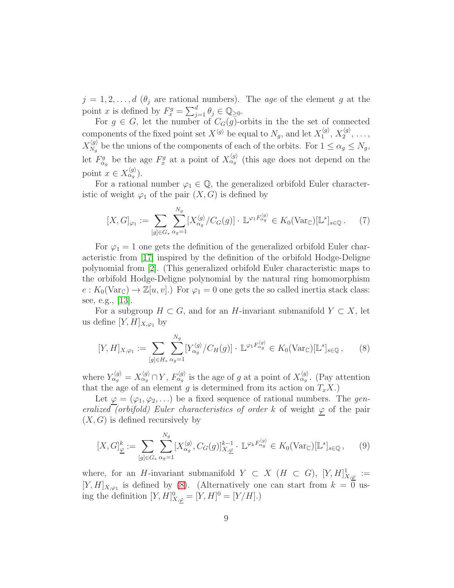$j = 1, 2, \ldots, d$  ( $\theta_j$  are rational numbers). The age of the element g at the point x is defined by  $F_x^g = \sum_{j=1}^d \theta_j \in \mathbb{Q}_{\geq 0}$ .

For  $g \in G$ , let the number of  $C_G(g)$ -orbits in the set of connected components of the fixed point set  $X^{\langle g \rangle}$  be equal to  $N_g$ , and let  $X_1^{\langle g \rangle}$  $\langle g\rangle\over 1,\,X_2^{\langle g\rangle}$  $2^{(g)}$ , ...,  $X_{N_a}^{\langle g \rangle}$  $\chi_{N_g}^{(g)}$  be the unions of the components of each of the orbits. For  $1 \leq \alpha_g \leq N_g$ , let  $F_{\alpha_g}^g$  be the age  $F_x^g$  at a point of  $X_{\alpha_g}^{\langle g \rangle}$  (this age does not depend on the point  $x \in X_{\alpha_g}^{\langle g \rangle}$ ).

For a rational number  $\varphi_1 \in \mathbb{Q}$ , the generalized orbifold Euler characteristic of weight  $\varphi_1$  of the pair  $(X, G)$  is defined by

$$
[X, G]_{\varphi_1} := \sum_{[g] \in G_*} \sum_{\alpha_g=1}^{N_g} [X_{\alpha_g}^{\langle g \rangle} / C_G(g)] \cdot \mathbb{L}^{\varphi_1 F_{\alpha_g}^{\langle g \rangle}} \in K_0(\text{Var}_{\mathbb{C}})[\mathbb{L}^s]_{s \in \mathbb{Q}}.
$$
 (7)

For  $\varphi_1 = 1$  one gets the definition of the generalized orbifold Euler characteristic from [\[17\]](#page-18-1) inspired by the definition of the orbifold Hodge-Deligne polynomial from [\[2\]](#page-16-1). (This generalized orbifold Euler characteristic maps to the orbifold Hodge-Deligne polynomial by the natural ring homomorphism  $e: K_0(\text{Var}_{\mathbb{C}}) \to \mathbb{Z}[u, v]$ .) For  $\varphi_1 = 0$  one gets the so called inertia stack class: see, e.g., [\[13\]](#page-17-11).

For a subgroup  $H \subset G$ , and for an H-invariant submanifold  $Y \subset X$ , let us define  $[Y, H]_{X, \varphi_1}$  by

<span id="page-8-0"></span>
$$
[Y,H]_{X,\varphi_1} := \sum_{[g]\in H_*} \sum_{\alpha_g=1}^{N_g} [Y_{\alpha_g}^{\langle g \rangle} / C_H(g)] \cdot \mathbb{L}^{\varphi_1 F_{\alpha_g}^{\langle g \rangle}} \in K_0(\text{Var}_{\mathbb{C}})[\mathbb{L}^s]_{s \in \mathbb{Q}},\tag{8}
$$

where  $Y_{\alpha_g}^{\langle g \rangle} = X_{\alpha_g}^{\langle g \rangle} \cap Y$ ,  $F_{\alpha_g}^{\langle g \rangle}$  is the age of g at a point of  $X_{\alpha_g}^{\langle g \rangle}$ . (Pay attention that the age of an element g is determined from its action on  $T_xX$ .

Let  $\varphi = (\varphi_1, \varphi_2, \ldots)$  be a fixed sequence of rational numbers. The generalized (orbifold) Euler characteristics of order k of weight  $\varphi$  of the pair  $(X, G)$  is defined recursively by

$$
[X, G]_{\underline{\varphi}}^k := \sum_{[g] \in G_*} \sum_{\alpha_g = 1}^{N_g} [X_{\alpha_g}^{\langle g \rangle}, C_G(g)]_{X, \underline{\varphi}}^{k-1} \cdot \mathbb{L}^{\varphi_k F_{\alpha_g}^{\langle g \rangle}} \in K_0(\text{Var}_{\mathbb{C}})[\mathbb{L}^s]_{s \in \mathbb{Q}}, \qquad (9)
$$

where, for an H-invariant submanifold  $Y \subset X$  ( $H \subset G$ ),  $[Y, H]_{X,\varphi}^{1} :=$  $[Y,H]_{X,\varphi_1}$  is defined by [\(8\)](#page-8-0). (Alternatively one can start from  $k=0$  using the definition  $[Y, H]^0_{X,\varphi} = [Y, H]^0 = [Y/H].$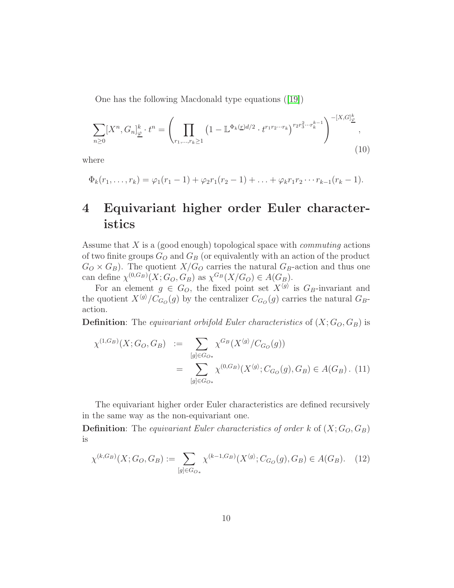One has the following Macdonald type equations ([\[19\]](#page-18-2))

$$
\sum_{n\geq 0} [X^n, G_n]_{\underline{\varphi}}^k \cdot t^n = \left( \prod_{r_1, \dots, r_k \geq 1} \left( 1 - \mathbb{L}^{\Phi_k(\underline{r})d/2} \cdot t^{r_1 r_2 \cdots r_k} \right)^{r_2 r_3^2 \cdots r_k^{k-1}} \right)^{-[X, G]_{\underline{\varphi}}^k},
$$
\n(10)

where

$$
\Phi_k(r_1,\ldots,r_k)=\varphi_1(r_1-1)+\varphi_2r_1(r_2-1)+\ldots+\varphi_kr_1r_2\cdots r_{k-1}(r_k-1).
$$

## <span id="page-9-0"></span>4 Equivariant higher order Euler characteristics

Assume that  $X$  is a (good enough) topological space with *commuting* actions of two finite groups  $G_O$  and  $G_B$  (or equivalently with an action of the product  $G_O \times G_B$ ). The quotient  $X/G_O$  carries the natural  $G_B$ -action and thus one can define  $\chi^{(0,G_B)}(X;G_O,G_B)$  as  $\chi^{G_B}(X/G_O) \in A(G_B)$ .

For an element  $g \in G_O$ , the fixed point set  $X^{\langle g \rangle}$  is  $G_B$ -invariant and the quotient  $X^{\langle g \rangle}/C_{G_O}(g)$  by the centralizer  $C_{G_O}(g)$  carries the natural  $G_B$ action.

**Definition:** The *equivariant orbifold Euler characteristics* of  $(X; G_0, G_B)$  is

$$
\chi^{(1,G_B)}(X;G_O, G_B) := \sum_{[g] \in G_{O*}} \chi^{G_B}(X^{\langle g \rangle}/C_{G_O}(g))
$$
  
= 
$$
\sum_{[g] \in G_{O*}} \chi^{(0,G_B)}(X^{\langle g \rangle}; C_{G_O}(g), G_B) \in A(G_B).
$$
 (11)

The equivariant higher order Euler characteristics are defined recursively in the same way as the non-equivariant one.

**Definition:** The equivariant Euler characteristics of order k of  $(X; G_0, G_B)$ is

<span id="page-9-1"></span>
$$
\chi^{(k,G_B)}(X;G_O,G_B) := \sum_{[g] \in G_{O_*}} \chi^{(k-1,G_B)}(X^{\langle g \rangle};C_{G_O}(g),G_B) \in A(G_B). \tag{12}
$$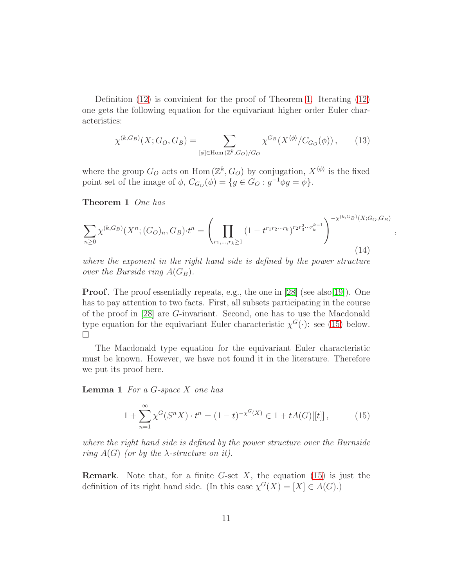Definition [\(12\)](#page-9-1) is convinient for the proof of Theorem [1.](#page-10-1) Iterating [\(12\)](#page-9-1) one gets the following equation for the equivariant higher order Euler characteristics:

<span id="page-10-4"></span>
$$
\chi^{(k,G_B)}(X;G_O,G_B) = \sum_{[\phi] \in \text{Hom}(\mathbb{Z}^k,G_O)/G_O} \chi^{G_B}(X^{\langle \phi \rangle}/C_{G_O}(\phi)),\tag{13}
$$

<span id="page-10-1"></span>where the group  $G_O$  acts on Hom  $(\mathbb{Z}^k, G_O)$  by conjugation,  $X^{\langle \phi \rangle}$  is the fixed point set of the image of  $\phi$ ,  $C_{G_O}(\phi) = \{g \in G_O : g^{-1} \phi g = \phi\}.$ 

Theorem 1 One has

<span id="page-10-3"></span>
$$
\sum_{n\geq 0} \chi^{(k,G_B)}(X^n; (G_O)_n, G_B) \cdot t^n = \left(\prod_{r_1,\dots,r_k\geq 1} (1-t^{r_1r_2\cdots r_k})^{r_2r_3^2\cdots r_k^{k-1}}\right)^{-\chi^{(k,G_B)}(X;G_O,G_B)}
$$
\n(14)

,

where the exponent in the right hand side is defined by the power structure over the Burside ring  $A(G_B)$ .

**Proof.** The proof essentially repeats, e.g., the one in [\[28\]](#page-18-4) (see also[\[19\]](#page-18-2)). One has to pay attention to two facts. First, all subsets participating in the course of the proof in [\[28\]](#page-18-4) are G-invariant. Second, one has to use the Macdonald type equation for the equivariant Euler characteristic  $\chi^G(\cdot)$ : see [\(15\)](#page-10-2) below.  $\Box$ 

The Macdonald type equation for the equivariant Euler characteristic must be known. However, we have not found it in the literature. Therefore we put its proof here.

<span id="page-10-0"></span>**Lemma 1** For a  $G$ -space  $X$  one has

<span id="page-10-2"></span>
$$
1 + \sum_{n=1}^{\infty} \chi^{G}(S^{n} X) \cdot t^{n} = (1 - t)^{-\chi^{G}(X)} \in 1 + tA(G)[[t]], \qquad (15)
$$

where the right hand side is defined by the power structure over the Burnside ring  $A(G)$  (or by the  $\lambda$ -structure on it).

**Remark.** Note that, for a finite G-set  $X$ , the equation [\(15\)](#page-10-2) is just the definition of its right hand side. (In this case  $\chi^G(X) = [X] \in A(G)$ .)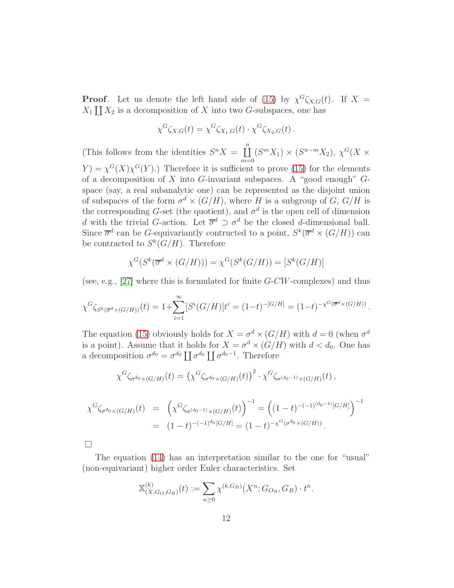**Proof.** Let us denote the left hand side of [\(15\)](#page-10-2) by  $\chi^G \zeta_{X,G}(t)$ . If  $X =$  $X_1 \coprod X_2$  is a decomposition of X into two G-subspaces, one has

$$
\chi^G \zeta_{X,G}(t) = \chi^G \zeta_{X_1,G}(t) \cdot \chi^G \zeta_{X_2,G}(t).
$$

(This follows from the identities  $S^n X = \prod^n$  $m=0$  $(S^m X_1) \times (S^{n-m} X_2), \chi^G(X \times$  $Y = \chi^G(X)\chi^G(Y)$ .) Therefore it is sufficient to prove [\(15\)](#page-10-2) for the elements of a decomposition of  $X$  into  $G$ -invariant subspaces. A "good enough"  $G$ space (say, a real subanalytic one) can be represented as the disjoint union of subspaces of the form  $\sigma^d \times (G/H)$ , where H is a subgroup of G,  $G/H$  is the corresponding G-set (the quotient), and  $\sigma^d$  is the open cell of dimension d with the trivial G-action. Let  $\overline{\sigma}^d \supset \sigma^d$  be the closed d-dimensional ball. Since  $\overline{\sigma}^d$  can be G-equivariantly contructed to a point,  $S^k(\overline{\sigma}^d \times (G/H))$  can be contracted to  $S^k(G/H)$ . Therefore

$$
\chi^G(S^k(\overline{\sigma}^d \times (G/H))) = \chi^G(S^k(G/H)) = [S^k(G/H)]
$$

(see, e.g., [\[27\]](#page-18-0) where this is formulated for finite  $G-CW$ -complexes) and thus

$$
\chi^G \zeta_{S^k(\overline{\sigma}^d \times (G/H))}(t) = 1 + \sum_{i=1}^{\infty} [S^i(G/H)] t^i = (1-t)^{-[G/H]} = (1-t)^{-\chi^G(\overline{\sigma}^d \times (G/H))}.
$$

The equation [\(15\)](#page-10-2) obviously holds for  $X = \sigma^d \times (G/H)$  with  $d = 0$  (when  $\sigma^d$ ) is a point). Assume that it holds for  $X = \sigma^d \times (G/H)$  with  $d < d_0$ . One has a decomposition  $\sigma^{d_0} = \sigma^{d_0} \coprod \sigma^{d_0} \coprod \sigma^{d_0-1}$ . Therefore

$$
\chi^G \zeta_{\sigma^{d_0} \times (G/H)}(t) = \left( \chi^G \zeta_{\sigma^{d_0} \times (G/H)}(t) \right)^2 \cdot \chi^G \zeta_{\sigma^{(d_0-1)} \times (G/H)}(t) ,
$$

$$
\chi^G \zeta_{\sigma^{d_0} \times (G/H)}(t) = \left( \chi^G \zeta_{\sigma^{(d_0-1)} \times (G/H)}(t) \right)^{-1} = \left( (1-t)^{-(-1)^{(d_0-1)}[G/H]} \right)^{-1}
$$
  
= 
$$
(1-t)^{-(-1)^{d_0}[G/H]} = (1-t)^{-\chi^G(\sigma^{d_0} \times (G/H))}.
$$

The equation [\(14\)](#page-10-3) has an interpretation similar to the one for "usual" (non-equivariant) higher order Euler characteristics. Set

$$
\mathbb{X}_{(X;G_O,G_B)}^{(k)}(t) := \sum_{n\geq 0} \chi^{(k,G_B)}(X^n;G_{On},G_B) \cdot t^n.
$$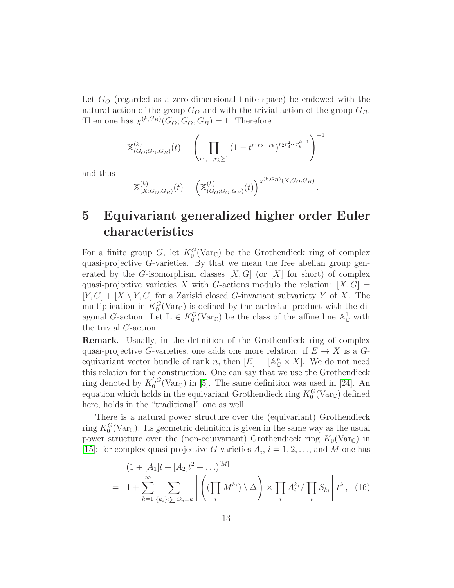Let  $G<sub>O</sub>$  (regarded as a zero-dimensional finite space) be endowed with the natural action of the group  $G_O$  and with the trivial action of the group  $G_B$ . Then one has  $\chi^{(k,G_B)}(G_O; G_O, G_B) = 1$ . Therefore

$$
\mathbb{X}_{(G_O;G_O,G_B)}^{(k)}(t) = \left(\prod_{r_1,\ldots,r_k \ge 1} (1 - t^{r_1 r_2 \cdots r_k})^{r_2 r_3^2 \cdots r_k^{k-1}}\right)^{-1}
$$

and thus

$$
\mathbb{X}_{(X;G_O,G_B)}^{(k)}(t) = \left(\mathbb{X}_{(G_O;G_O,G_B)}^{(k)}(t)\right)^{\chi^{(k,G_B)}(X;G_O,G_B)}
$$

.

## 5 Equivariant generalized higher order Euler characteristics

For a finite group G, let  $K_0^G(\text{Var}_{\mathbb{C}})$  be the Grothendieck ring of complex quasi-projective G-varieties. By that we mean the free abelian group generated by the G-isomorphism classes  $[X, G]$  (or  $[X]$  for short) of complex quasi-projective varieties X with G-actions modulo the relation:  $[X, G] =$  $[Y, G] + [X \setminus Y, G]$  for a Zariski closed G-invariant subvariety Y of X. The multiplication in  $K_0^G(\text{Var}_{\mathbb{C}})$  is defined by the cartesian product with the diagonal G-action. Let  $\mathbb{L} \in K_0^G(\text{Var}_{\mathbb{C}})$  be the class of the affine line  $\mathbb{A}_{\mathbb{C}}^1$  with the trivial G-action.

Remark. Usually, in the definition of the Grothendieck ring of complex quasi-projective G-varieties, one adds one more relation: if  $E \to X$  is a Gequivariant vector bundle of rank n, then  $[E] = [\mathbb{A}_{\mathbb{C}}^n \times X]$ . We do not need this relation for the construction. One can say that we use the Grothendieck ring denoted by  $K_0^{',G}$  $C_0^{\mathcal{G}}(\text{Var}_{\mathbb{C}})$  in [\[5\]](#page-17-12). The same definition was used in [\[24\]](#page-18-9). An equation which holds in the equivariant Grothendieck ring  $K_0^G(\text{Var}_{\mathbb{C}})$  defined here, holds in the "traditional" one as well.

There is a natural power structure over the (equivariant) Grothendieck ring  $K_0^G(\text{Var}_{\mathbb{C}})$ . Its geometric definition is given in the same way as the usual power structure over the (non-equivariant) Grothendieck ring  $K_0(\text{Var}_{\mathbb{C}})$  in [\[15\]](#page-17-3): for complex quasi-projective G-varieties  $A_i$ ,  $i = 1, 2, \ldots$ , and M one has

<span id="page-12-0"></span>
$$
(1 + [A_1]t + [A_2]t^2 + \ldots)^{[M]}
$$
  
=  $1 + \sum_{k=1}^{\infty} \sum_{\{k_i\}: \sum i k_i = k} \left[ \left( (\prod_i M^{k_i}) \setminus \Delta \right) \times \prod_i A_i^{k_i} / \prod_i S_{k_i} \right] t^k$ , (16)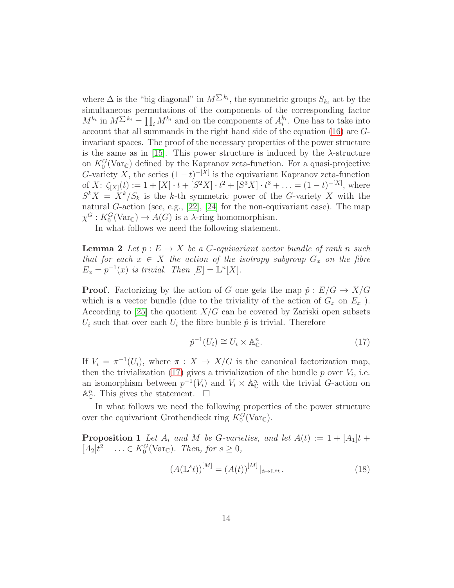where  $\Delta$  is the "big diagonal" in  $M^{\sum k_i}$ , the symmetric groups  $S_{k_i}$  act by the simultaneous permutations of the components of the corresponding factor  $M^{k_i}$  in  $M^{\sum k_i} = \prod_i M^{k_i}$  and on the components of  $A_i^{k_i}$ . One has to take into account that all summands in the right hand side of the equation [\(16\)](#page-12-0) are Ginvariant spaces. The proof of the necessary properties of the power structure is the same as in [\[15\]](#page-17-3). This power structure is induced by the  $\lambda$ -structure on  $K_0^G(\text{Var}_{\mathbb{C}})$  defined by the Kapranov zeta-function. For a quasi-projective G-variety X, the series  $(1-t)^{-[X]}$  is the equivariant Kapranov zeta-function of X:  $\zeta_{[X]}(t) := 1 + [X] \cdot t + [S^2 X] \cdot t^2 + [S^3 X] \cdot t^3 + \ldots = (1 - t)^{-[X]}$ , where  $S^k X = X^k/S_k$  is the k-th symmetric power of the G-variety X with the natural G-action (see, e.g.,  $[22]$ ,  $[24]$  for the non-equivariant case). The map  $\chi^G: K_0^G(\text{Var}_{\mathbb{C}}) \to A(G)$  is a  $\lambda$ -ring homomorphism.

<span id="page-13-1"></span>In what follows we need the following statement.

**Lemma 2** Let  $p : E \to X$  be a G-equivariant vector bundle of rank n such that for each  $x \in X$  the action of the isotropy subgroup  $G_x$  on the fibre  $E_x = p^{-1}(x)$  is trivial. Then  $[E] = \mathbb{L}^n[X]$ .

**Proof.** Factorizing by the action of G one gets the map  $\tilde{p}: E/G \to X/G$ which is a vector bundle (due to the triviality of the action of  $G_x$  on  $E_x$ ). According to [\[25\]](#page-18-11) the quotient  $X/G$  can be covered by Zariski open subsets  $U_i$  such that over each  $U_i$  the fibre bunble  $\check{p}$  is trivial. Therefore

<span id="page-13-0"></span>
$$
\check{p}^{-1}(U_i) \cong U_i \times \mathbb{A}_{\mathbb{C}}^n. \tag{17}
$$

If  $V_i = \pi^{-1}(U_i)$ , where  $\pi : X \to X/G$  is the canonical factorization map, then the trivialization [\(17\)](#page-13-0) gives a trivialization of the bundle  $p$  over  $V_i$ , i.e. an isomorphism between  $p^{-1}(V_i)$  and  $V_i \times \mathbb{A}_{\mathbb{C}}^n$  with the trivial *G*-action on  $\mathbb{A}^n_{\mathbb{C}}$ . This gives the statement.  $\Box$ 

<span id="page-13-3"></span>In what follows we need the following properties of the power structure over the equivariant Grothendieck ring  $K_0^G(\text{Var}_{\mathbb{C}})$ .

**Proposition 1** Let  $A_i$  and M be G-varieties, and let  $A(t) := 1 + |A_1|t +$  $[A_2]t^2 + \ldots \in K_0^G(\text{Var}_{\mathbb{C}})$ . Then, for  $s \geq 0$ ,

<span id="page-13-2"></span>
$$
(A(\mathbb{L}^s t))^{\lbrack M \rbrack} = (A(t))^{\lbrack M \rbrack} |_{t \mapsto \mathbb{L}^s t}.
$$
 (18)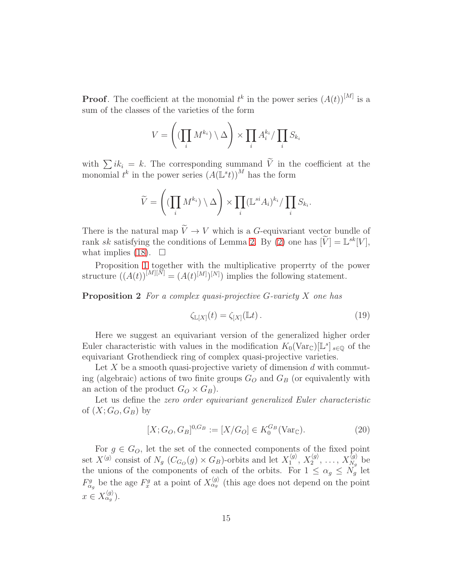**Proof.** The coefficient at the monomial  $t^k$  in the power series  $(A(t))^{[M]}$  is a sum of the classes of the varieties of the form

$$
V = \left( (\prod_i M^{k_i}) \setminus \Delta \right) \times \prod_i A_i^{k_i} / \prod_i S_{k_i}
$$

with  $\sum i k_i = k$ . The corresponding summand  $\widetilde{V}$  in the coefficient at the monomial  $t^k$  in the power series  $(A(\mathbb{L}^s t))^M$  has the form

$$
\widetilde{V} = \left( \left( \prod_i M^{k_i} \right) \setminus \Delta \right) \times \prod_i (\mathbb{L}^{si} A_i)^{k_i} / \prod_i S_{k_i}.
$$

There is the natural map  $\widetilde{V} \to V$  which is a G-equivariant vector bundle of rank sk satisfying the conditions of Lemma [2.](#page-13-1) By [\(2\)](#page-13-1) one has  $[V] = \mathbb{L}^{sk}[V]$ , what implies [\(18\)](#page-13-2).  $\Box$ 

<span id="page-14-1"></span>Proposition [1](#page-13-3) together with the multiplicative properrty of the power structure  $((A(t))^{[M][\bar{N}]} = (A(t)^{[M]})^{[N]})$  implies the following statement.

**Proposition 2** For a complex quasi-projective  $G$ -variety  $X$  one has

$$
\zeta_{\mathbb{L}[X]}(t) = \zeta_{[X]}(\mathbb{L}t). \tag{19}
$$

Here we suggest an equivariant version of the generalized higher order Euler characteristic with values in the modification  $K_0(\text{Var}_{\mathbb{C}})[\mathbb{L}^s]_{s \in \mathbb{Q}}$  of the equivariant Grothendieck ring of complex quasi-projective varieties.

Let X be a smooth quasi-projective variety of dimension  $d$  with commuting (algebraic) actions of two finite groups  $G<sub>O</sub>$  and  $G<sub>B</sub>$  (or equivalently with an action of the product  $G_Q \times G_B$ ).

Let us define the zero order equivariant generalized Euler characteristic of  $(X; G_{O}, G_{B})$  by

<span id="page-14-0"></span>
$$
[X; G_O, G_B]^{0, G_B} := [X/G_O] \in K_0^{G_B}(\text{Var}_{\mathbb{C}}). \tag{20}
$$

For  $g \in G_O$ , let the set of the connected components of the fixed point set  $X^{\langle g \rangle}$  consist of  $N_g$  ( $C_{G_O}(g) \times G_B$ )-orbits and let  $X_1^{\langle g \rangle}$  $\chi_{1}^{\langle g \rangle},\, X_{2}^{\langle g \rangle}$  $\langle g\rangle\ 2^{\langle g\rangle},\ \dots,\ X_{N_g}^{\langle g\rangle}$  $\chi_{N_g}^{(g)}$  be the unions of the components of each of the orbits. For  $1 \leq \alpha_g \leq N_g$  let  $F_{\alpha_g}^g$  be the age  $F_x^g$  at a point of  $X_{\alpha_g}^{\langle g \rangle}$  (this age does not depend on the point  $x \in X_{\alpha_g}^{\langle g \rangle}$ ).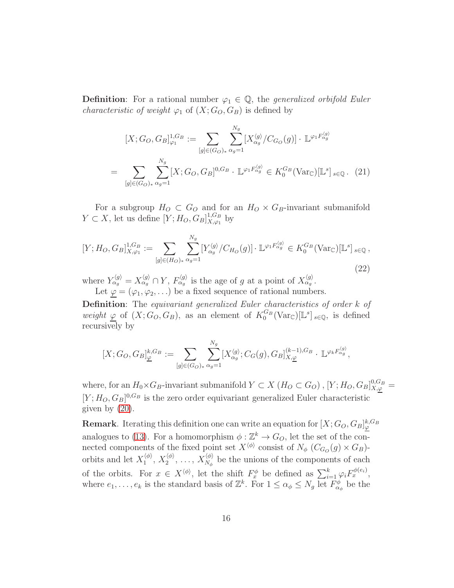**Definition:** For a rational number  $\varphi_1 \in \mathbb{Q}$ , the *generalized orbifold Euler characteristic of weight*  $\varphi_1$  of  $(X; G_O, G_B)$  is defined by

$$
[X; G_O, G_B]_{\varphi_1}^{1, G_B} := \sum_{[g] \in (G_O)_*} \sum_{\alpha_g = 1}^{N_g} [X_{\alpha_g}^{\langle g \rangle} / C_{G_O}(g)] \cdot \mathbb{L}^{\varphi_1 F_{\alpha_g}^{\langle g \rangle}}
$$
  
= 
$$
\sum_{[g] \in (G_O)_*} \sum_{\alpha_g = 1}^{N_g} [X; G_O, G_B]^{0, G_B} \cdot \mathbb{L}^{\varphi_1 F_{\alpha_g}^{\langle g \rangle}} \in K_0^{G_B} (\text{Var}_{\mathbb{C}})[\mathbb{L}^s]_{s \in \mathbb{Q}}.
$$
 (21)

For a subgroup  $H_O \subset G_O$  and for an  $H_O \times G_B$ -invariant submanifold  $Y \subset X$ , let us define  $[Y; H_O, G_B]_{X,\varphi_1}^{1,G_B}$  $\chi^{1,G_B}_{X,\varphi_1}$  by

$$
[Y; H_O, G_B]_{X, \varphi_1}^{1, G_B} := \sum_{[g] \in (H_O)_*} \sum_{\alpha_g = 1}^{N_g} [Y_{\alpha_g}^{\langle g \rangle} / C_{H_O}(g)] \cdot \mathbb{L}^{\varphi_1 F_{\alpha_g}^{\langle g \rangle}} \in K_0^{G_B}(\text{Var}_{\mathbb{C}})[\mathbb{L}^s]_{s \in \mathbb{Q}},
$$
\n(22)

where  $Y_{\alpha g}^{\langle g \rangle} = X_{\alpha g}^{\langle g \rangle} \cap Y$ ,  $F_{\alpha g}^{\langle g \rangle}$  is the age of g at a point of  $X_{\alpha g}^{\langle g \rangle}$ .

Let  $\varphi = (\varphi_1, \varphi_2, \ldots)$  be a fixed sequence of rational numbers.

Definition: The equivariant generalized Euler characteristics of order k of weight  $\varphi$  of  $(X; G_O, G_B)$ , as an element of  $K_0^{G_B}(\text{Var}_{\mathbb{C}})[\mathbb{L}^s]_{s \in \mathbb{Q}}$ , is defined recursively by

$$
[X;G_O,G_B]_{\underline{\varphi}}^{k,G_B} := \sum_{[g]\in (G_O)_*} \sum_{\alpha_g=1}^{N_g} [X_{\alpha_g}^{\langle g\rangle};C_G(g),G_B]_{X,\underline{\varphi}}^{(k-1),G_B}\cdot \mathbb{L}^{\varphi_k F_{\alpha_g}^{\langle g\rangle}},
$$

where, for an  $H_0 \times G_B$ -invariant submanifold  $Y \subset X$  ( $H_O \subset G_O$ ), [ $Y; H_O, G_B$ ] $_{X,\varphi}^{0,G_B}$  =  $[Y; H<sub>O</sub>, G<sub>B</sub>]$ <sup>0,*G*<sub>B</sub> is the zero order equivariant generalized Euler characteristic</sup> given by [\(20\)](#page-14-0).

**Remark**. Iterating this definition one can write an equation for  $[X; G_O, G_B]_{\varphi}^{k, G_B}$ analogues to [\(13\)](#page-10-4). For a homomorphism  $\phi : \mathbb{Z}^k \to G_O$ , let the set of the connected components of the fixed point set  $X^{\langle \phi \rangle}$  consist of  $N_{\phi}$  ( $C_{G_O}(g) \times G_B$ )orbits and let  $X_1^{\langle \phi \rangle}$  $\langle\!\!\!\langle \phi\rangle\!\!\!\rangle_{1},\,X_2^{\langle\phi\rangle}$  $\langle \phi\rangle\ 2^{\;\;\langle \phi\rangle},\ \dots,\ X_{N_{\phi}}^{\langle\phi\rangle}$  $N_{\phi}^{(\varphi)}$  be the unions of the components of each of the orbits. For  $x \in X^{\langle \phi \rangle}$ , let the shift  $F_x^{\phi}$  be defined as  $\sum_{i=1}^k \varphi_i F_x^{\phi(e_i)}$ , where  $e_1, \ldots, e_k$  is the standard basis of  $\mathbb{Z}^k$ . For  $1 \leq \alpha_{\phi} \leq N_g$  let  $F^{\phi}_{\alpha_{\phi}}$  be the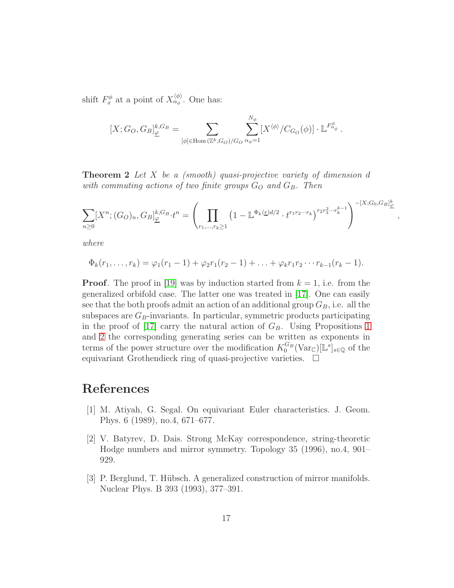shift  $F_x^{\phi}$  at a point of  $X_{\alpha_{\phi}}^{\langle \phi \rangle}$ . One has:

$$
[X;G_O, G_B]_{\underline{\varphi}}^{k, G_B} = \sum_{[\phi] \in \text{Hom}(\mathbb{Z}^k, G_O)/G_O} \sum_{\alpha_{\phi}=1}^{N_{\phi}} [X^{\langle \phi \rangle} / C_{G_O}(\phi)] \cdot \mathbb{L}^{F^{\phi}_{\alpha_{\phi}}}.
$$

**Theorem 2** Let X be a (smooth) quasi-projective variety of dimension  $d$ with commuting actions of two finite groups  $G_O$  and  $G_B$ . Then

$$
\sum_{n\geq 0} [X^n; (G_O)_n, G_B]_{\underline{\varphi}}^{k, G_B} \cdot t^n = \left( \prod_{r_1, \dots, r_k \geq 1} \left( 1 - \mathbb{L}^{\Phi_k(\underline{r})d/2} \cdot t^{r_1 r_2 \cdots r_k} \right)^{r_2 r_3^2 \cdots r_k^{k-1}} \right)^{-[X; G_0, G_B]_{\underline{\varphi}}^k}
$$

,

where

$$
\Phi_k(r_1,\ldots,r_k)=\varphi_1(r_1-1)+\varphi_2r_1(r_2-1)+\ldots+\varphi_kr_1r_2\cdots r_{k-1}(r_k-1).
$$

**Proof.** The proof in [\[19\]](#page-18-2) was by induction started from  $k = 1$ , i.e. from the generalized orbifold case. The latter one was treated in [\[17\]](#page-18-1). One can easily see that the both proofs admit an action of an additional group  $G_B$ , i.e. all the subspaces are  $G_B$ -invariants. In particular, symmetric products participating in the proof of [\[17\]](#page-18-1) carry the natural action of  $G_B$ . Using Propositions [1](#page-13-3) and [2](#page-14-1) the corresponding generating series can be written as exponents in terms of the power structure over the modification  $K_0^{G_B}(\text{Var}_{\mathbb{C}})[\mathbb{L}^s]_{s \in \mathbb{Q}}$  of the equivariant Grothendieck ring of quasi-projective varieties.  $\Box$ 

#### <span id="page-16-0"></span>References

- [1] M. Atiyah, G. Segal. On equivariant Euler characteristics. J. Geom. Phys. 6 (1989), no.4, 671–677.
- <span id="page-16-1"></span>[2] V. Batyrev, D. Dais. Strong McKay correspondence, string-theoretic Hodge numbers and mirror symmetry. Topology 35 (1996), no.4, 901– 929.
- <span id="page-16-2"></span>[3] P. Berglund, T. Hübsch. A generalized construction of mirror manifolds. Nuclear Phys. B 393 (1993), 377–391.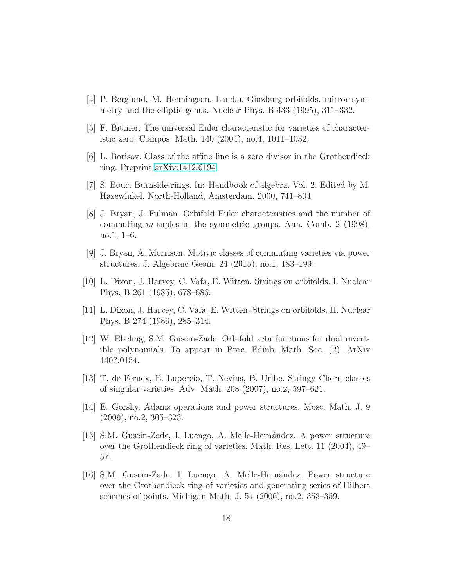- <span id="page-17-12"></span><span id="page-17-4"></span>[4] P. Berglund, M. Henningson. Landau-Ginzburg orbifolds, mirror symmetry and the elliptic genus. Nuclear Phys. B 433 (1995), 311–332.
- <span id="page-17-6"></span>[5] F. Bittner. The universal Euler characteristic for varieties of characteristic zero. Compos. Math. 140 (2004), no.4, 1011–1032.
- <span id="page-17-10"></span>[6] L. Borisov. Class of the affine line is a zero divisor in the Grothendieck ring. Preprint [arXiv:1412.6194.](http://arxiv.org/abs/1412.6194)
- <span id="page-17-2"></span>[7] S. Bouc. Burnside rings. In: Handbook of algebra. Vol. 2. Edited by M. Hazewinkel. North-Holland, Amsterdam, 2000, 741–804.
- [8] J. Bryan, J. Fulman. Orbifold Euler characteristics and the number of commuting m-tuples in the symmetric groups. Ann. Comb. 2 (1998), no.1, 1–6.
- <span id="page-17-9"></span>[9] J. Bryan, A. Morrison. Motivic classes of commuting varieties via power structures. J. Algebraic Geom. 24 (2015), no.1, 183–199.
- <span id="page-17-1"></span><span id="page-17-0"></span>[10] L. Dixon, J. Harvey, C. Vafa, E. Witten. Strings on orbifolds. I. Nuclear Phys. B 261 (1985), 678–686.
- <span id="page-17-5"></span>[11] L. Dixon, J. Harvey, C. Vafa, E. Witten. Strings on orbifolds. II. Nuclear Phys. B 274 (1986), 285–314.
- [12] W. Ebeling, S.M. Gusein-Zade. Orbifold zeta functions for dual invertible polynomials. To appear in Proc. Edinb. Math. Soc. (2). ArXiv 1407.0154.
- <span id="page-17-11"></span><span id="page-17-8"></span>[13] T. de Fernex, E. Lupercio, T. Nevins, B. Uribe. Stringy Chern classes of singular varieties. Adv. Math. 208 (2007), no.2, 597–621.
- <span id="page-17-3"></span>[14] E. Gorsky. Adams operations and power structures. Mosc. Math. J. 9 (2009), no.2, 305–323.
- [15] S.M. Gusein-Zade, I. Luengo, A. Melle-Hern´andez. A power structure over the Grothendieck ring of varieties. Math. Res. Lett. 11 (2004), 49– 57.
- <span id="page-17-7"></span>[16] S.M. Gusein-Zade, I. Luengo, A. Melle-Hernández. Power structure over the Grothendieck ring of varieties and generating series of Hilbert schemes of points. Michigan Math. J. 54 (2006), no.2, 353–359.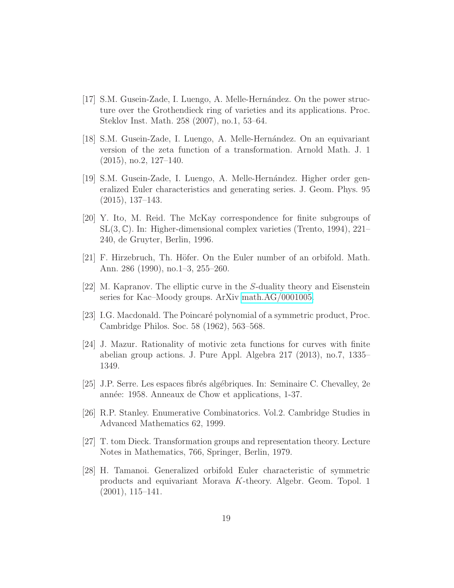- <span id="page-18-1"></span>[17] S.M. Gusein-Zade, I. Luengo, A. Melle-Hern´andez. On the power structure over the Grothendieck ring of varieties and its applications. Proc. Steklov Inst. Math. 258 (2007), no.1, 53–64.
- <span id="page-18-6"></span>[18] S.M. Gusein-Zade, I. Luengo, A. Melle-Hern´andez. On an equivariant version of the zeta function of a transformation. Arnold Math. J. 1 (2015), no.2, 127–140.
- <span id="page-18-2"></span>[19] S.M. Gusein-Zade, I. Luengo, A. Melle-Hernández. Higher order generalized Euler characteristics and generating series. J. Geom. Phys. 95 (2015), 137–143.
- <span id="page-18-8"></span>[20] Y. Ito, M. Reid. The McKay correspondence for finite subgroups of  $SL(3,\mathbb{C})$ . In: Higher-dimensional complex varieties (Trento, 1994), 221– 240, de Gruyter, Berlin, 1996.
- <span id="page-18-10"></span><span id="page-18-7"></span>[21] F. Hirzebruch, Th. Höfer. On the Euler number of an orbifold. Math. Ann. 286 (1990), no.1–3, 255–260.
- <span id="page-18-3"></span>[22] M. Kapranov. The elliptic curve in the S-duality theory and Eisenstein series for Kac–Moody groups. ArXiv [math.AG/0001005.](http://arxiv.org/abs/math/0001005)
- <span id="page-18-9"></span>[23] I.G. Macdonald. The Poincar´e polynomial of a symmetric product, Proc. Cambridge Philos. Soc. 58 (1962), 563–568.
- [24] J. Mazur. Rationality of motivic zeta functions for curves with finite abelian group actions. J. Pure Appl. Algebra 217 (2013), no.7, 1335– 1349.
- <span id="page-18-11"></span><span id="page-18-5"></span>[25] J.P. Serre. Les espaces fibr´es alg´ebriques. In: Seminaire C. Chevalley, 2e année: 1958. Anneaux de Chow et applications, 1-37.
- [26] R.P. Stanley. Enumerative Combinatorics. Vol.2. Cambridge Studies in Advanced Mathematics 62, 1999.
- <span id="page-18-0"></span>[27] T. tom Dieck. Transformation groups and representation theory. Lecture Notes in Mathematics, 766, Springer, Berlin, 1979.
- <span id="page-18-4"></span>[28] H. Tamanoi. Generalized orbifold Euler characteristic of symmetric products and equivariant Morava K-theory. Algebr. Geom. Topol. 1 (2001), 115–141.